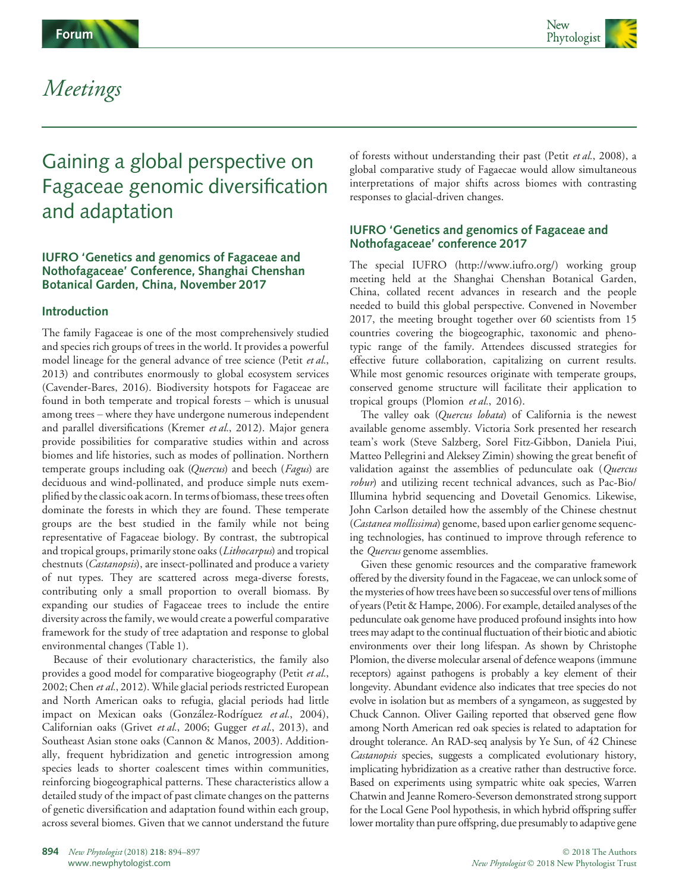



## Meetings

# Gaining a global perspective on Fagaceae genomic diversification and adaptation

#### IUFRO 'Genetics and genomics of Fagaceae and Nothofagaceae' Conference, Shanghai Chenshan Botanical Garden, China, November 2017

#### Introduction

The family Fagaceae is one of the most comprehensively studied and species rich groups of trees in the world. It provides a powerful model lineage for the general advance of tree science (Petit et al., 2013) and contributes enormously to global ecosystem services (Cavender-Bares, 2016). Biodiversity hotspots for Fagaceae are found in both temperate and tropical forests – which is unusual among trees – where they have undergone numerous independent and parallel diversifications (Kremer et al., 2012). Major genera provide possibilities for comparative studies within and across biomes and life histories, such as modes of pollination. Northern temperate groups including oak (Quercus) and beech (Fagus) are deciduous and wind-pollinated, and produce simple nuts exemplified by the classic oak acorn. In terms of biomass, these trees often dominate the forests in which they are found. These temperate groups are the best studied in the family while not being representative of Fagaceae biology. By contrast, the subtropical and tropical groups, primarily stone oaks (Lithocarpus) and tropical chestnuts (Castanopsis), are insect-pollinated and produce a variety of nut types. They are scattered across mega-diverse forests, contributing only a small proportion to overall biomass. By expanding our studies of Fagaceae trees to include the entire diversity across the family, we would create a powerful comparative framework for the study of tree adaptation and response to global environmental changes (Table 1).

Because of their evolutionary characteristics, the family also provides a good model for comparative biogeography (Petit et al., 2002; Chen et al., 2012). While glacial periods restricted European and North American oaks to refugia, glacial periods had little impact on Mexican oaks (González-Rodríguez et al., 2004), Californian oaks (Grivet et al., 2006; Gugger et al., 2013), and Southeast Asian stone oaks (Cannon & Manos, 2003). Additionally, frequent hybridization and genetic introgression among species leads to shorter coalescent times within communities, reinforcing biogeographical patterns. These characteristics allow a detailed study of the impact of past climate changes on the patterns of genetic diversification and adaptation found within each group, across several biomes. Given that we cannot understand the future

of forests without understanding their past (Petit et al., 2008), a global comparative study of Fagaecae would allow simultaneous interpretations of major shifts across biomes with contrasting responses to glacial-driven changes.

### IUFRO 'Genetics and genomics of Fagaceae and Nothofagaceae' conference 2017

The special IUFRO [\(http://www.iufro.org/\)](http://www.iufro.org/) working group meeting held at the Shanghai Chenshan Botanical Garden, China, collated recent advances in research and the people needed to build this global perspective. Convened in November 2017, the meeting brought together over 60 scientists from 15 countries covering the biogeographic, taxonomic and phenotypic range of the family. Attendees discussed strategies for effective future collaboration, capitalizing on current results. While most genomic resources originate with temperate groups, conserved genome structure will facilitate their application to tropical groups (Plomion et al., 2016).

The valley oak (Quercus lobata) of California is the newest available genome assembly. Victoria Sork presented her research team's work (Steve Salzberg, Sorel Fitz-Gibbon, Daniela Piui, Matteo Pellegrini and Aleksey Zimin) showing the great benefit of validation against the assemblies of pedunculate oak (Quercus robur) and utilizing recent technical advances, such as Pac-Bio/ Illumina hybrid sequencing and Dovetail Genomics. Likewise, John Carlson detailed how the assembly of the Chinese chestnut (Castanea mollissima) genome, based upon earlier genome sequencing technologies, has continued to improve through reference to the *Quercus* genome assemblies.

Given these genomic resources and the comparative framework offered by the diversity found in the Fagaceae, we can unlock some of the mysteries of how trees have been so successful over tens of millions of years (Petit & Hampe, 2006). For example, detailed analyses of the pedunculate oak genome have produced profound insights into how trees may adapt to the continual fluctuation of their biotic and abiotic environments over their long lifespan. As shown by Christophe Plomion, the diverse molecular arsenal of defence weapons (immune receptors) against pathogens is probably a key element of their longevity. Abundant evidence also indicates that tree species do not evolve in isolation but as members of a syngameon, as suggested by Chuck Cannon. Oliver Gailing reported that observed gene flow among North American red oak species is related to adaptation for drought tolerance. An RAD-seq analysis by Ye Sun, of 42 Chinese Castanopsis species, suggests a complicated evolutionary history, implicating hybridization as a creative rather than destructive force. Based on experiments using sympatric white oak species, Warren Chatwin and Jeanne Romero-Severson demonstrated strong support for the Local Gene Pool hypothesis, in which hybrid offspring suffer lower mortality than pure offspring, due presumably to adaptive gene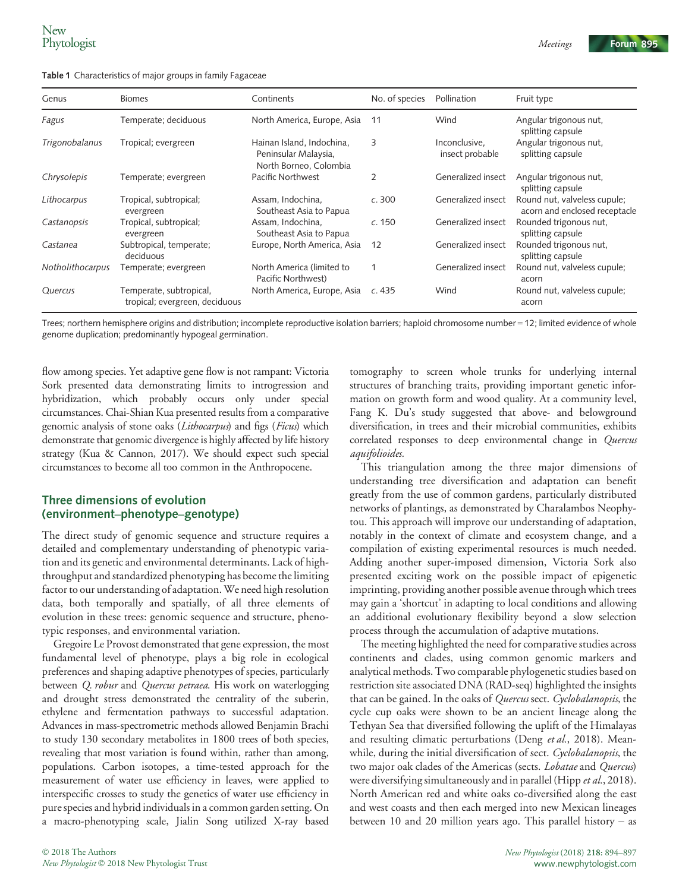| Genus                 | <b>Biomes</b>                                             | Continents                                                                  | No. of species | Pollination                      | Fruit type                                                    |
|-----------------------|-----------------------------------------------------------|-----------------------------------------------------------------------------|----------------|----------------------------------|---------------------------------------------------------------|
| Fagus                 | Temperate; deciduous                                      | North America, Europe, Asia                                                 | -11            | Wind                             | Angular trigonous nut,<br>splitting capsule                   |
| <b>Trigonobalanus</b> | Tropical; evergreen                                       | Hainan Island, Indochina,<br>Peninsular Malaysia,<br>North Borneo, Colombia | 3              | Inconclusive,<br>insect probable | Angular trigonous nut,<br>splitting capsule                   |
| Chrysolepis           | Temperate; evergreen                                      | Pacific Northwest                                                           | 2              | Generalized insect               | Angular trigonous nut,<br>splitting capsule                   |
| Lithocarpus           | Tropical, subtropical;<br>evergreen                       | Assam, Indochina,<br>Southeast Asia to Papua                                | c.300          | Generalized insect               | Round nut, valveless cupule;<br>acorn and enclosed receptacle |
| Castanopsis           | Tropical, subtropical;<br>evergreen                       | Assam, Indochina,<br>Southeast Asia to Papua                                | c.150          | Generalized insect               | Rounded trigonous nut,<br>splitting capsule                   |
| Castanea              | Subtropical, temperate;<br>deciduous                      | Europe, North America, Asia                                                 | 12             | Generalized insect               | Rounded trigonous nut,<br>splitting capsule                   |
| Notholithocarpus      | Temperate; evergreen                                      | North America (limited to<br>Pacific Northwest)                             | $\mathbf 1$    | Generalized insect               | Round nut, valveless cupule;<br>acorn                         |
| Quercus               | Temperate, subtropical,<br>tropical; evergreen, deciduous | North America, Europe, Asia c. 435                                          |                | Wind                             | Round nut, valveless cupule;<br>acorn                         |

Trees; northern hemisphere origins and distribution; incomplete reproductive isolation barriers; haploid chromosome number = 12; limited evidence of whole genome duplication; predominantly hypogeal germination.

flow among species. Yet adaptive gene flow is not rampant: Victoria Sork presented data demonstrating limits to introgression and hybridization, which probably occurs only under special circumstances. Chai-Shian Kua presented results from a comparative genomic analysis of stone oaks (Lithocarpus) and figs (Ficus) which demonstrate that genomic divergence is highly affected by life history strategy (Kua & Cannon, 2017). We should expect such special circumstances to become all too common in the Anthropocene.

#### Three dimensions of evolution (environment–phenotype–genotype)

The direct study of genomic sequence and structure requires a detailed and complementary understanding of phenotypic variation and its genetic and environmental determinants. Lack of highthroughput and standardized phenotyping has become the limiting factor to our understanding of adaptation. We need high resolution data, both temporally and spatially, of all three elements of evolution in these trees: genomic sequence and structure, phenotypic responses, and environmental variation.

Gregoire Le Provost demonstrated that gene expression, the most fundamental level of phenotype, plays a big role in ecological preferences and shaping adaptive phenotypes of species, particularly between Q. robur and Quercus petraea. His work on waterlogging and drought stress demonstrated the centrality of the suberin, ethylene and fermentation pathways to successful adaptation. Advances in mass-spectrometric methods allowed Benjamin Brachi to study 130 secondary metabolites in 1800 trees of both species, revealing that most variation is found within, rather than among, populations. Carbon isotopes, a time-tested approach for the measurement of water use efficiency in leaves, were applied to interspecific crosses to study the genetics of water use efficiency in pure species and hybrid individuals in a common garden setting. On a macro-phenotyping scale, Jialin Song utilized X-ray based

tomography to screen whole trunks for underlying internal structures of branching traits, providing important genetic information on growth form and wood quality. At a community level, Fang K. Du's study suggested that above- and belowground diversification, in trees and their microbial communities, exhibits correlated responses to deep environmental change in Quercus aquifolioides.

This triangulation among the three major dimensions of understanding tree diversification and adaptation can benefit greatly from the use of common gardens, particularly distributed networks of plantings, as demonstrated by Charalambos Neophytou. This approach will improve our understanding of adaptation, notably in the context of climate and ecosystem change, and a compilation of existing experimental resources is much needed. Adding another super-imposed dimension, Victoria Sork also presented exciting work on the possible impact of epigenetic imprinting, providing another possible avenue through which trees may gain a 'shortcut' in adapting to local conditions and allowing an additional evolutionary flexibility beyond a slow selection process through the accumulation of adaptive mutations.

The meeting highlighted the need for comparative studies across continents and clades, using common genomic markers and analytical methods. Two comparable phylogenetic studies based on restriction site associated DNA (RAD-seq) highlighted the insights that can be gained. In the oaks of Quercus sect. Cyclobalanopsis, the cycle cup oaks were shown to be an ancient lineage along the Tethyan Sea that diversified following the uplift of the Himalayas and resulting climatic perturbations (Deng et al., 2018). Meanwhile, during the initial diversification of sect. Cyclobalanopsis, the two major oak clades of the Americas (sects. Lobatae and Quercus) were diversifying simultaneously and in parallel (Hipp *et al.*, 2018). North American red and white oaks co-diversified along the east and west coasts and then each merged into new Mexican lineages between 10 and 20 million years ago. This parallel history – as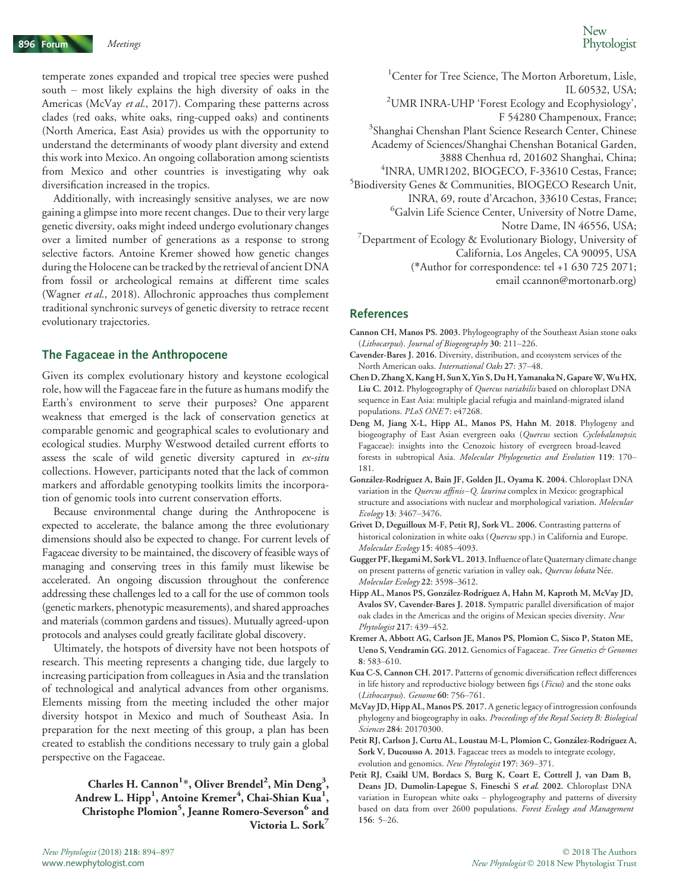temperate zones expanded and tropical tree species were pushed south – most likely explains the high diversity of oaks in the Americas (McVay et al., 2017). Comparing these patterns across clades (red oaks, white oaks, ring-cupped oaks) and continents (North America, East Asia) provides us with the opportunity to understand the determinants of woody plant diversity and extend this work into Mexico. An ongoing collaboration among scientists from Mexico and other countries is investigating why oak diversification increased in the tropics.

Additionally, with increasingly sensitive analyses, we are now gaining a glimpse into more recent changes. Due to their very large genetic diversity, oaks might indeed undergo evolutionary changes over a limited number of generations as a response to strong selective factors. Antoine Kremer showed how genetic changes during the Holocene can be tracked by the retrieval of ancient DNA from fossil or archeological remains at different time scales (Wagner et al., 2018). Allochronic approaches thus complement traditional synchronic surveys of genetic diversity to retrace recent evolutionary trajectories.

#### The Fagaceae in the Anthropocene

Given its complex evolutionary history and keystone ecological role, how will the Fagaceae fare in the future as humans modify the Earth's environment to serve their purposes? One apparent weakness that emerged is the lack of conservation genetics at comparable genomic and geographical scales to evolutionary and ecological studies. Murphy Westwood detailed current efforts to assess the scale of wild genetic diversity captured in ex-situ collections. However, participants noted that the lack of common markers and affordable genotyping toolkits limits the incorporation of genomic tools into current conservation efforts.

Because environmental change during the Anthropocene is expected to accelerate, the balance among the three evolutionary dimensions should also be expected to change. For current levels of Fagaceae diversity to be maintained, the discovery of feasible ways of managing and conserving trees in this family must likewise be accelerated. An ongoing discussion throughout the conference addressing these challenges led to a call for the use of common tools (genetic markers, phenotypic measurements), and shared approaches and materials (common gardens and tissues). Mutually agreed-upon protocols and analyses could greatly facilitate global discovery.

Ultimately, the hotspots of diversity have not been hotspots of research. This meeting represents a changing tide, due largely to increasing participation from colleagues in Asia and the translation of technological and analytical advances from other organisms. Elements missing from the meeting included the other major diversity hotspot in Mexico and much of Southeast Asia. In preparation for the next meeting of this group, a plan has been created to establish the conditions necessary to truly gain a global perspective on the Fagaceae.

> Charles H. Cannon<sup>1\*</sup>, Oliver Brendel<sup>2</sup>, Min Deng<sup>3</sup>, Andrew L. Hipp $^1$ , Antoine Kremer $^4$ , Chai-Shian Kua $^1$ , Christophe Plomion<sup>5</sup>, Jeanne Romero-Severson<sup>6</sup> and Victoria L. Sork<sup>7</sup>

<sup>1</sup>Center for Tree Science, The Morton Arboretum, Lisle, IL 60532, USA; <sup>2</sup> UMR INRA-UHP 'Forest Ecology and Ecophysiology', F 54280 Champenoux, France; 3 Shanghai Chenshan Plant Science Research Center, Chinese Academy of Sciences/Shanghai Chenshan Botanical Garden, 3888 Chenhua rd, 201602 Shanghai, China; 4 INRA, UMR1202, BIOGECO, F-33610 Cestas, France; 5 Biodiversity Genes & Communities, BIOGECO Research Unit, INRA, 69, route d'Arcachon, 33610 Cestas, France; 6 Galvin Life Science Center, University of Notre Dame, Notre Dame, IN 46556, USA; <sup>7</sup>Department of Ecology & Evolutionary Biology, University of California, Los Angeles, CA 90095, USA (\*Author for correspondence: tel +1 630 725 2071;

email ccannon@mortonarb.org)

#### **References**

- Cannon CH, Manos PS. 2003. Phylogeography of the Southeast Asian stone oaks (Lithocarpus). Journal of Biogeography 30: 211–226.
- Cavender-Bares J. 2016. Diversity, distribution, and ecosystem services of the North American oaks. International Oaks 27: 37–48.
- Chen D, Zhang X, Kang H, Sun X, Yin S, Du H, Yamanaka N, GapareW,Wu HX, Liu C. 2012. Phylogeography of Quercus variabilis based on chloroplast DNA sequence in East Asia: multiple glacial refugia and mainland-migrated island populations. PLoS ONE7: e47268.
- Deng M, Jiang X-L, Hipp AL, Manos PS, Hahn M. 2018. Phylogeny and biogeography of East Asian evergreen oaks (Quercus section Cyclobalanopsis; Fagaceae): insights into the Cenozoic history of evergreen broad-leaved forests in subtropical Asia. Molecular Phylogenetics and Evolution 119: 170– 181.
- González-Rodríguez A, Bain JF, Golden JL, Oyama K. 2004. Chloroplast DNA variation in the Quercus affinis-Q. laurina complex in Mexico: geographical structure and associations with nuclear and morphological variation. Molecular Ecology 13: 3467–3476.
- Grivet D, Deguilloux M-F, Petit RJ, Sork VL. 2006. Contrasting patterns of historical colonization in white oaks (Quercus spp.) in California and Europe. Molecular Ecology 15: 4085–4093.
- Gugger PF, IkegamiM, Sork VL. 2013.Influence of late Quaternary climate change on present patterns of genetic variation in valley oak, Quercus lobata Née. Molecular Ecology 22: 3598–3612.
- Hipp AL, Manos PS, González-Rodríguez A, Hahn M, Kaproth M, McVay JD, Avalos SV, Cavender-Bares J. 2018. Sympatric parallel diversification of major oak clades in the Americas and the origins of Mexican species diversity. New Phytologist 217: 439–452.
- Kremer A, Abbott AG, Carlson JE, Manos PS, Plomion C, Sisco P, Staton ME, Ueno S, Vendramin GG. 2012. Genomics of Fagaceae. Tree Genetics & Genomes 8: 583–610.
- Kua C-S, Cannon CH. 2017. Patterns of genomic diversification reflect differences in life history and reproductive biology between figs (Ficus) and the stone oaks (Lithocarpus). Genome 60: 756–761.
- McVay JD, Hipp AL, Manos PS. 2017. A genetic legacy of introgression confounds phylogeny and biogeography in oaks. Proceedings of the Royal Society B: Biological Sciences 284: 20170300.
- Petit RJ, Carlson J, Curtu AL, Loustau M-L, Plomion C, González-Rodríguez A, Sork V, Ducousso A. 2013. Fagaceae trees as models to integrate ecology, evolution and genomics. New Phytologist 197: 369–371.
- Petit RJ, Csaikl UM, Bordacs S, Burg K, Coart E, Cottrell J, van Dam B, Deans JD, Dumolin-Lapegue S, Fineschi S et al. 2002. Chloroplast DNA variation in European white oaks – phylogeography and patterns of diversity based on data from over 2600 populations. Forest Ecology and Management 156: 5–26.